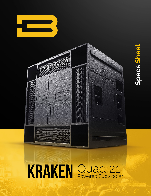



# KRAKEN Quad 21"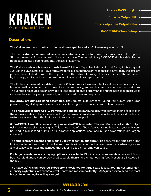

#### **Description:**

**The Kraken embrace is both crushing and inescapable, and you'll love every minute of it!**

**The most extreme bass output we can pack into the smallest footprint.** The Kraken offers the highest SPL on the market from a cabinet of its size, bar none. The output of 4-5 BASSBOSS double 18" subs has been packed into a cabinet roughly the size of just two.

**The Kraken embrace is a monstrously beautiful thing.** Capable of almost brutal force, it hits so good. Just like the VS21 Single 21" Powered Subwoofer, excellent transient response is delivered by the efficient performance of short horns at the upper end of the subwoofer range. The extended depth is delivered by the large, vented volume, long excursion drivers, and prodigious power.

**The Kraken is a vented, short-horn, quad 21" bandpass subwoofer.** The four drivers are loaded into a large acoustical volume that is tuned to a low frequency, and each is front-loaded onto a short horn. The vented enclosure section provides extended deep bass performance and the horn section provides increased upper frequency sensitivity and improved transient response.

**BASSBOSS products are hand-assembled.** They are meticulously constructed from 18mm Baltic Birch plywood, using dado joints, screws, extensive bracing and advanced composite adhesives.

**The enclosures feature UHMW Polyethylene sliders on all four sides,** with corresponding recesses in the opposite sides to facilitate interlocking the boxes when stacked. The included transport carts also feature recesses which the feet lock into for secure transporting.

**8000W RMS of amplification and comprehensive DSP is included.** The amplifier is rated for RMS output using continuous sine wave signal. This is not a "peak" or "burst" power rating because your sub won't be used in millisecond bursts. For subwoofer applications, peak and burst power ratings are largely irrelevant.

**The amplifiers are capable of delivering 8000W of continuous output.** This ensures the amps aren't the limiting factor in the output of low frequencies. Providing abundant power prevents overheating issues and virtually eliminates the damage that clipping a too-small amp can cause.

**For larger events, several arraying options are available.** Block arrays, side-by-side arrays and front/ back Cardioid arrays can be deployed securely thanks to the interlocking feet. Presets are included in the DSP.

**The Quad 21" Kraken Powered Subwoofer is designed for large scale festival touring systems; highintensity nightclubs; art cars/carnival floats; and most importantly, BASS junkies who need the most body + face melting bass they can get.**

**www.bassboss.com**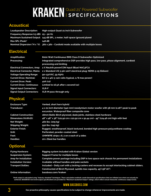# **KRAKEN** Quad 21" Powered Subwoofer

## **Acoustical**

| <b>Loudspeaker Description:</b>               | High-output Quad-21 inch Subwoofer                                                        |
|-----------------------------------------------|-------------------------------------------------------------------------------------------|
| Frequency Response $(\pm 3$ dB): $25 - 90$ Hz |                                                                                           |
|                                               | Maximum Sustained Output: 145 dB SPL, 1 meter, half-space (ground plane)                  |
| Max SPL (Peak)*                               | 148 dB                                                                                    |
|                                               | Nominal Dispersion ( $H x$ °V): $360 x 360 -$ Cardioid mode available with multiple boxes |

#### **Electrical**

| <b>Amplification:</b>            | 8000 Watt Continuous RMS Class D Subwoofer-Optimized                                                            |
|----------------------------------|-----------------------------------------------------------------------------------------------------------------|
| Processing:                      | Integrated comprehensive DSP provides high pass, low pass, phase alignment, cardioid<br>processing and limiting |
|                                  | Electrical Connectors, Amp: 2 X Neutrik powerCON Input (Blue) NAC3FCA                                           |
|                                  | Electrical Connector, Mains: 2 x Standard US 3-pin 120V electrical plug: NEMA 5-15 (Edison)                     |
| <b>Voltage Operating Range:</b>  | 90-132VAC, 55-65Hz                                                                                              |
| <b>Current Draw, Nominal:</b>    | 8A (2 x 4A) @ 120 volts (typical, 1/8 max power)                                                                |
| <b>Current Draw, Peak:</b>       | 40A (x2)                                                                                                        |
| <b>Current Draw, Continuous:</b> | Limited to 16.5A after 1 second (x2)                                                                            |
| <b>Signal Input Connectors:</b>  | <b>XLR-F</b>                                                                                                    |
| <b>Signal Output Connectors:</b> | <b>XLR-M pass-through only</b>                                                                                  |

### **Physical**

| <b>Enclosure Type:</b><br><b>Transducer:</b> | Vented, short horn hybrid<br>4 x 21 inch diameter (540 mm) neodymium motor woofer with 58 mm (2.28") peak to peak |
|----------------------------------------------|-------------------------------------------------------------------------------------------------------------------|
|                                              | excursion. Waterproof fiber composite cone                                                                        |
| <b>Cabinet Construction:</b>                 | 18mm Baltic Birch plywood, dado joints, stainless steel hardware                                                  |
| Dimensions (HxWxD):                          | 48" x 48" x 36" (121.92 cm x 121.92 cm x 91.44 cm) - 49" (124.46 cm) high with feet                               |
| Net Weight:                                  | 460 lbs. (209 kg)                                                                                                 |
| <b>Shipping Weight:</b>                      | 550 lbs. (249 kg)                                                                                                 |
| <b>Exterior Finish:</b>                      | Rugged, weatherproof, black textured, bonded high-pressure polyurethane coating                                   |
| Grill:                                       | Perforated, powder-coated steel                                                                                   |
| Feet:                                        | UHMWPE strips x 8, 2 on e each of 4 sides                                                                         |
| <b>Handles:</b>                              | 20 x Steel bar handles                                                                                            |

#### **Optional**

| <b>Flying Hardware:</b>      | Rigging system included with Kraken Global version                                                |
|------------------------------|---------------------------------------------------------------------------------------------------|
| <b>Suspension System:</b>    | <b>Support Frame for multiple boxes</b>                                                           |
| Amp for Installation:        | Complete power package including DSP in two space rack chassis for permanent installations        |
| <b>Installation Version:</b> | Available without handles and pole sockets                                                        |
| <b>Transport Dollies:</b>    | Included - Dolly cart with 4 locking casters and recesses to accept interlocking cabinet sliders. |
|                              | Constructed of Birch Plywood. 1400lb max capacity. 49"x36"x6")                                    |
| <b>Online Information:</b>   | bassboss.com/kraken                                                                               |
|                              |                                                                                                   |

"Peak output is calculated using "industry standard" techniques. These calculation methods create theoretical specifications that are inflated over what can actually be<br>achieved. BASSBOSS real world output specifications a

#### **www.bassboss.com**